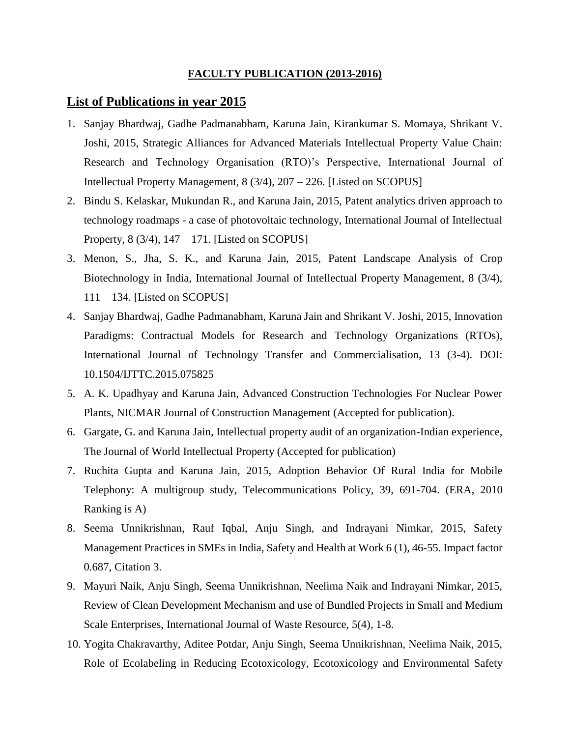## **FACULTY PUBLICATION (2013-2016)**

## **List of Publications in year 2015**

- 1. Sanjay Bhardwaj, Gadhe Padmanabham, Karuna Jain, Kirankumar S. Momaya, Shrikant V. Joshi, 2015, Strategic Alliances for Advanced Materials Intellectual Property Value Chain: Research and Technology Organisation (RTO)'s Perspective, International Journal of Intellectual Property Management, 8 (3/4), 207 – 226. [Listed on SCOPUS]
- 2. Bindu S. Kelaskar, Mukundan R., and Karuna Jain, 2015, Patent analytics driven approach to technology roadmaps - a case of photovoltaic technology, International Journal of Intellectual Property, 8 (3/4), 147 – 171. [Listed on SCOPUS]
- 3. Menon, S., Jha, S. K., and Karuna Jain, 2015, Patent Landscape Analysis of Crop Biotechnology in India, International Journal of Intellectual Property Management, 8 (3/4), 111 – 134. [Listed on SCOPUS]
- 4. Sanjay Bhardwaj, Gadhe Padmanabham, Karuna Jain and Shrikant V. Joshi, 2015, Innovation Paradigms: Contractual Models for Research and Technology Organizations (RTOs), International Journal of Technology Transfer and Commercialisation, 13 (3-4). DOI: 10.1504/IJTTC.2015.075825
- 5. A. K. Upadhyay and Karuna Jain, Advanced Construction Technologies For Nuclear Power Plants, NICMAR Journal of Construction Management (Accepted for publication).
- 6. Gargate, G. and Karuna Jain, Intellectual property audit of an organization-Indian experience, The Journal of World Intellectual Property (Accepted for publication)
- 7. Ruchita Gupta and Karuna Jain, 2015, [Adoption Behavior Of Rural India for Mobile](http://www.sciencedirect.com/science/article/pii/S0308596115000038)  [Telephony: A multigroup study,](http://www.sciencedirect.com/science/article/pii/S0308596115000038) Telecommunications Policy, 39, 691-704. (ERA, 2010 Ranking is A)
- 8. Seema Unnikrishnan, Rauf Iqbal, Anju Singh, and Indrayani Nimkar, 2015, Safety Management Practices in SMEs in India, Safety and Health at Work 6 (1), 46-55. Impact factor 0.687, Citation 3.
- 9. Mayuri Naik, Anju Singh, Seema Unnikrishnan, Neelima Naik and Indrayani Nimkar, 2015, Review of Clean Development Mechanism and use of Bundled Projects in Small and Medium Scale Enterprises, International Journal of Waste Resource, 5(4), 1-8.
- 10. Yogita Chakravarthy, Aditee Potdar, Anju Singh, Seema Unnikrishnan, Neelima Naik, 2015, Role of Ecolabeling in Reducing Ecotoxicology, Ecotoxicology and Environmental Safety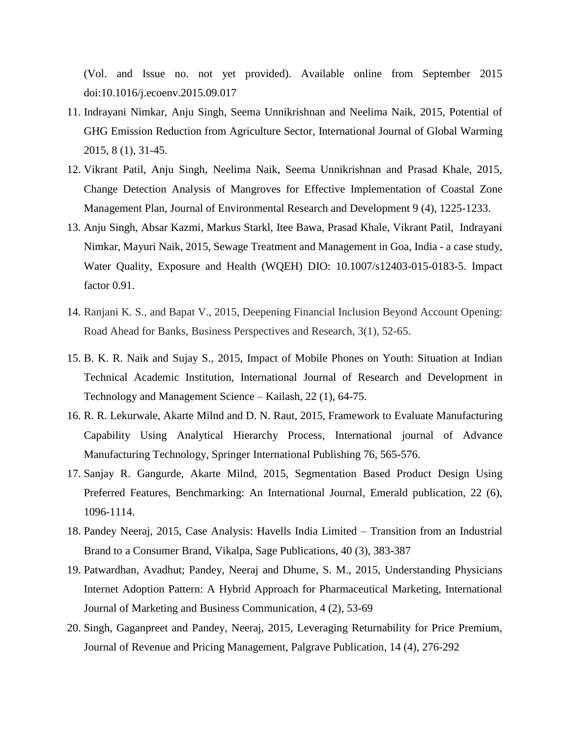(Vol. and Issue no. not yet provided). Available online from September 2015 doi:10.1016/j.ecoenv.2015.09.017

- 11. Indrayani Nimkar, Anju Singh, Seema Unnikrishnan and Neelima Naik, 2015, Potential of GHG Emission Reduction from Agriculture Sector, International Journal of Global Warming 2015, 8 (1), 31-45.
- 12. Vikrant Patil, Anju Singh, Neelima Naik, Seema Unnikrishnan and Prasad Khale, 2015, Change Detection Analysis of Mangroves for Effective Implementation of Coastal Zone Management Plan, Journal of Environmental Research and Development 9 (4), 1225-1233.
- 13. Anju Singh, Absar Kazmi, Markus Starkl, Itee Bawa, Prasad Khale, Vikrant Patil, Indrayani Nimkar, Mayuri Naik, 2015, Sewage Treatment and Management in Goa, India - a case study, Water Quality, Exposure and Health (WQEH) DIO: 10.1007/s12403-015-0183-5. Impact factor 0.91.
- 14. Ranjani K. S., and Bapat V., 2015, Deepening Financial Inclusion Beyond Account Opening: Road Ahead for Banks, Business Perspectives and Research, 3(1), 52-65.
- 15. B. K. R. Naik and Sujay S.*,* 2015, Impact of Mobile Phones on Youth: Situation at Indian Technical Academic Institution, International Journal of Research and Development in Technology and Management Science – Kailash, 22 (1), 64-75.
- 16. R. R. Lekurwale, Akarte Milnd and D. N. Raut, 2015, Framework to Evaluate Manufacturing Capability Using Analytical Hierarchy Process, International journal of Advance Manufacturing Technology, Springer International Publishing 76, 565-576.
- 17. Sanjay R. Gangurde, Akarte Milnd, 2015, Segmentation Based Product Design Using Preferred Features, Benchmarking: An International Journal, Emerald publication, 22 (6), 1096-1114.
- 18. Pandey Neeraj, 2015, Case Analysis: Havells India Limited Transition from an Industrial Brand to a Consumer Brand, Vikalpa, Sage Publications, 40 (3), 383-387
- 19. Patwardhan, Avadhut; Pandey, Neeraj and Dhume, S. M., 2015, Understanding Physicians Internet Adoption Pattern: A Hybrid Approach for Pharmaceutical Marketing, International Journal of Marketing and Business Communication*,* 4 (2), 53-69
- 20. Singh, Gaganpreet and Pandey, Neeraj, 2015, Leveraging Returnability for Price Premium, Journal of Revenue and Pricing Management, Palgrave Publication, 14 (4), 276-292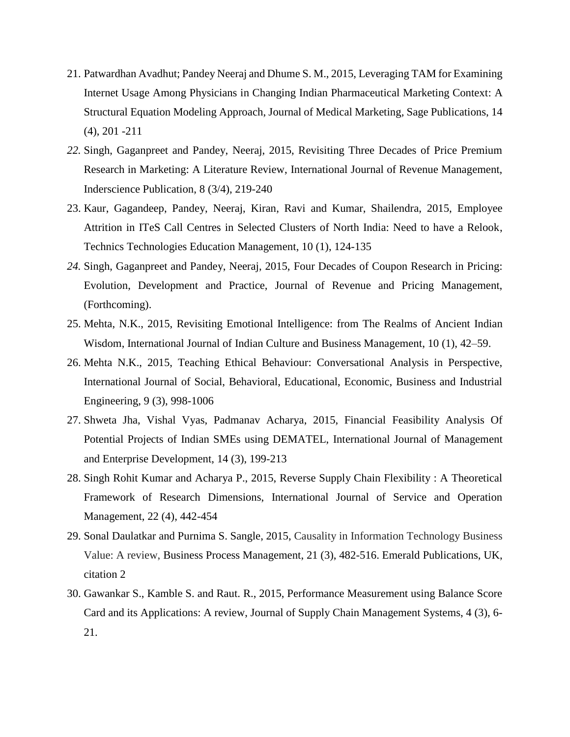- 21. Patwardhan Avadhut; Pandey Neeraj and Dhume S. M., 2015, Leveraging TAM for Examining Internet Usage Among Physicians in Changing Indian Pharmaceutical Marketing Context: A Structural Equation Modeling Approach, Journal of Medical Marketing*,* Sage Publications, 14 (4), 201 -211
- *22.* Singh, Gaganpreet and Pandey, Neeraj, 2015, Revisiting Three Decades of Price Premium Research in Marketing: A Literature Review, International Journal of Revenue Management, Inderscience Publication, 8 (3/4), 219-240
- 23. Kaur, Gagandeep, Pandey, Neeraj, Kiran, Ravi and Kumar, Shailendra, 2015, Employee Attrition in ITeS Call Centres in Selected Clusters of North India: Need to have a Relook, Technics Technologies Education Management, 10 (1), 124-135
- *24.* Singh, Gaganpreet and Pandey, Neeraj, 2015, Four Decades of Coupon Research in Pricing: Evolution, Development and Practice, Journal of Revenue and Pricing Management, (Forthcoming).
- 25. Mehta, N.K., 2015, Revisiting Emotional Intelligence: from The Realms of Ancient Indian Wisdom, International Journal of Indian Culture and Business Management, 10 (1), 42–59.
- 26. Mehta N.K., 2015, Teaching Ethical Behaviour: Conversational Analysis in Perspective, International Journal of Social, Behavioral, Educational, Economic, Business and Industrial Engineering, 9 (3), 998-1006
- 27. Shweta Jha, Vishal Vyas, Padmanav Acharya, 2015, Financial Feasibility Analysis Of Potential Projects of Indian SMEs using DEMATEL, International Journal of Management and Enterprise Development, 14 (3), 199-213
- 28. Singh Rohit Kumar and Acharya P., 2015, Reverse Supply Chain Flexibility : A Theoretical Framework of Research Dimensions, International Journal of Service and Operation Management, 22 (4), 442-454
- 29. Sonal Daulatkar and Purnima S. Sangle, 2015, Causality in Information Technology Business Value: A review, Business Process Management, 21 (3), 482-516. Emerald Publications, UK, citation 2
- 30. Gawankar S., Kamble S. and Raut. R., 2015, Performance Measurement using Balance Score Card and its Applications: A review, Journal of Supply Chain Management Systems, 4 (3), 6- 21.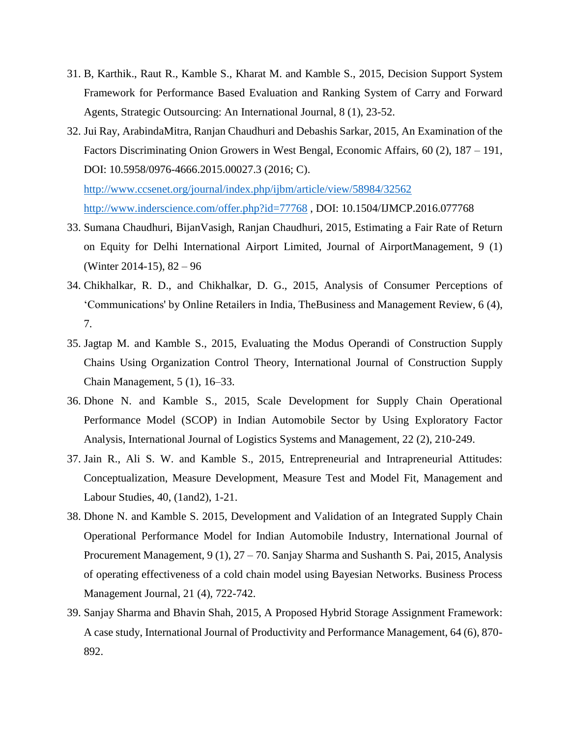- 31. B, Karthik., Raut R., Kamble S., Kharat M. and Kamble S., 2015, Decision Support System Framework for Performance Based Evaluation and Ranking System of Carry and Forward Agents, Strategic Outsourcing: An International Journal, 8 (1), 23-52.
- 32. Jui Ray, ArabindaMitra, Ranjan Chaudhuri and Debashis Sarkar, 2015, An Examination of the Factors Discriminating Onion Growers in West Bengal, Economic Affairs, 60 (2), 187 – 191, DOI: 10.5958/0976-4666.2015.00027.3 (2016; C).

<http://www.ccsenet.org/journal/index.php/ijbm/article/view/58984/32562> <http://www.inderscience.com/offer.php?id=77768> , DOI: 10.1504/IJMCP.2016.077768

- 33. Sumana Chaudhuri, BijanVasigh, Ranjan Chaudhuri, 2015, Estimating a Fair Rate of Return on Equity for Delhi International Airport Limited, Journal of AirportManagement, 9 (1) (Winter 2014-15), 82 – 96
- 34. Chikhalkar, R. D., and Chikhalkar, D. G., 2015, Analysis of Consumer Perceptions of 'Communications' by Online Retailers in India, TheBusiness and Management Review, 6 (4), 7.
- 35. Jagtap M. and Kamble S., 2015, Evaluating the Modus Operandi of Construction Supply Chains Using Organization Control Theory, International Journal of Construction Supply Chain Management, 5 (1), 16–33.
- 36. Dhone N. and Kamble S., 2015, Scale Development for Supply Chain Operational Performance Model (SCOP) in Indian Automobile Sector by Using Exploratory Factor Analysis, International Journal of Logistics Systems and Management, 22 (2), 210-249.
- 37. Jain R., Ali S. W. and Kamble S., 2015, Entrepreneurial and Intrapreneurial Attitudes: Conceptualization, Measure Development, Measure Test and Model Fit, Management and Labour Studies, 40, (1and2), 1-21.
- 38. Dhone N. and Kamble S. 2015, Development and Validation of an Integrated Supply Chain Operational Performance Model for Indian Automobile Industry, International Journal of Procurement Management, 9 (1), 27 – 70. Sanjay Sharma and Sushanth S. Pai, 2015, Analysis of operating effectiveness of a cold chain model using Bayesian Networks. Business Process Management Journal, 21 (4), 722-742.
- 39. Sanjay Sharma and Bhavin Shah, 2015, A Proposed Hybrid Storage Assignment Framework: A case study, International Journal of Productivity and Performance Management, 64 (6), 870- 892.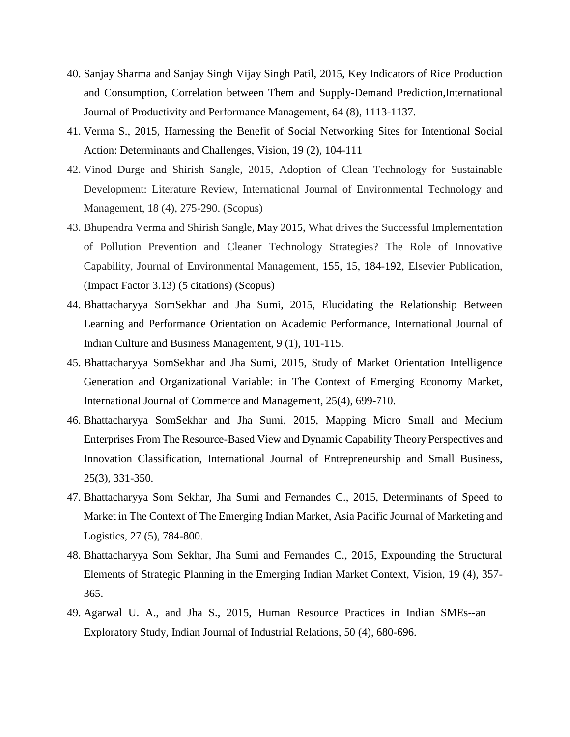- 40. Sanjay Sharma and Sanjay Singh Vijay Singh Patil, 2015, Key Indicators of Rice Production and Consumption, Correlation between Them and Supply-Demand Prediction,International Journal of Productivity and Performance Management, 64 (8), 1113-1137.
- 41. Verma S., 2015, Harnessing the Benefit of Social Networking Sites for Intentional Social Action: Determinants and Challenges, Vision, 19 (2), 104-111
- 42. Vinod Durge and Shirish Sangle, 2015, Adoption of Clean Technology for Sustainable Development: Literature Review, International Journal of Environmental Technology and Management, 18 (4), 275-290. (Scopus)
- 43. Bhupendra Verma and Shirish Sangle, May 2015, What drives the Successful Implementation of Pollution Prevention and Cleaner Technology Strategies? The Role of Innovative Capability, Journal of Environmental Management, 155, 15, 184-192, Elsevier Publication, (Impact Factor 3.13) (5 citations) (Scopus)
- 44. Bhattacharyya SomSekhar and Jha Sumi, 2015, Elucidating the Relationship Between Learning and Performance Orientation on Academic Performance, International Journal of Indian Culture and Business Management, 9 (1), 101-115.
- 45. Bhattacharyya SomSekhar and Jha Sumi, 2015, Study of Market Orientation Intelligence Generation and Organizational Variable: in The Context of Emerging Economy Market, International Journal of Commerce and Management, 25(4), 699-710.
- 46. Bhattacharyya SomSekhar and Jha Sumi, 2015, Mapping Micro Small and Medium Enterprises From The Resource-Based View and Dynamic Capability Theory Perspectives and Innovation Classification, International Journal of Entrepreneurship and Small Business, 25(3), 331-350.
- 47. Bhattacharyya Som Sekhar, Jha Sumi and Fernandes C., 2015, Determinants of Speed to Market in The Context of The Emerging Indian Market, Asia Pacific Journal of Marketing and Logistics, 27 (5), 784-800.
- 48. Bhattacharyya Som Sekhar, Jha Sumi and Fernandes C., 2015, Expounding the Structural Elements of Strategic Planning in the Emerging Indian Market Context, Vision, 19 (4), 357- 365.
- 49. Agarwal U. A., and Jha S., 2015, Human Resource Practices in Indian SMEs--an Exploratory Study, Indian Journal of Industrial Relations, 50 (4), 680-696.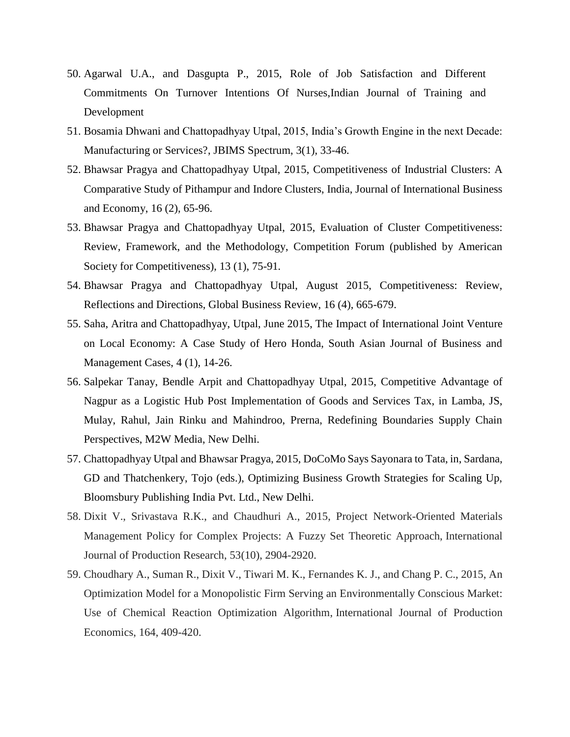- 50. Agarwal U.A., and Dasgupta P., 2015, Role of Job Satisfaction and Different Commitments On Turnover Intentions Of Nurses,Indian Journal of Training and Development
- 51. Bosamia Dhwani and Chattopadhyay Utpal, 2015, India's Growth Engine in the next Decade: Manufacturing or Services?, JBIMS Spectrum, 3(1), 33-46.
- 52. Bhawsar Pragya and Chattopadhyay Utpal, 2015, Competitiveness of Industrial Clusters: A Comparative Study of Pithampur and Indore Clusters, India, Journal of International Business and Economy, 16 (2), 65-96.
- 53. Bhawsar Pragya and Chattopadhyay Utpal, 2015, Evaluation of Cluster Competitiveness: Review, Framework, and the Methodology, Competition Forum (published by American Society for Competitiveness), 13 (1), 75-91*.*
- 54. Bhawsar Pragya and Chattopadhyay Utpal, August 2015, Competitiveness: Review, Reflections and Directions, Global Business Review, 16 (4), 665-679.
- 55. Saha, Aritra and Chattopadhyay, Utpal, June 2015, The Impact of International Joint Venture on Local Economy: A Case Study of Hero Honda, South Asian Journal of Business and Management Cases, 4 (1), 14-26.
- 56. Salpekar Tanay, Bendle Arpit and Chattopadhyay Utpal, 2015, Competitive Advantage of Nagpur as a Logistic Hub Post Implementation of Goods and Services Tax, in Lamba, JS, Mulay, Rahul, Jain Rinku and Mahindroo, Prerna, Redefining Boundaries Supply Chain Perspectives, M2W Media, New Delhi.
- 57. Chattopadhyay Utpal and Bhawsar Pragya, 2015, DoCoMo Says Sayonara to Tata, in, Sardana, GD and Thatchenkery, Tojo (eds.), Optimizing Business Growth Strategies for Scaling Up, Bloomsbury Publishing India Pvt. Ltd., New Delhi.
- 58. Dixit V., Srivastava R.K., and Chaudhuri A., 2015, Project Network-Oriented Materials Management Policy for Complex Projects: A Fuzzy Set Theoretic Approach, International Journal of Production Research, 53(10), 2904-2920.
- 59. Choudhary A., Suman R., Dixit V., Tiwari M. K., Fernandes K. J., and Chang P. C., 2015, An Optimization Model for a Monopolistic Firm Serving an Environmentally Conscious Market: Use of Chemical Reaction Optimization Algorithm, International Journal of Production Economics, 164, 409-420.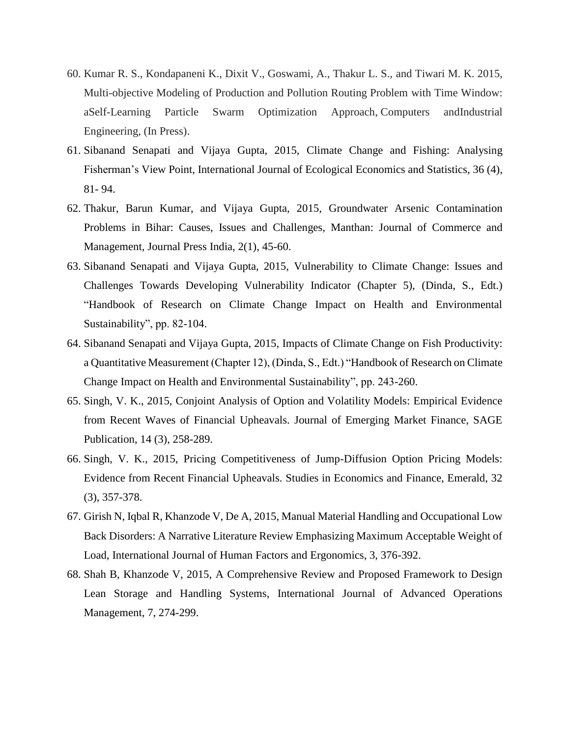- 60. Kumar R. S., Kondapaneni K., Dixit V., Goswami, A., Thakur L. S., and Tiwari M. K. 2015, Multi-objective Modeling of Production and Pollution Routing Problem with Time Window: aSelf-Learning Particle Swarm Optimization Approach, Computers andIndustrial Engineering, (In Press).
- 61. Sibanand Senapati and Vijaya Gupta, 2015, Climate Change and Fishing: Analysing Fisherman's View Point, International Journal of Ecological Economics and Statistics, 36 (4), 81- 94.
- 62. Thakur, Barun Kumar, and Vijaya Gupta, 2015, Groundwater Arsenic Contamination Problems in Bihar: Causes, Issues and Challenges, Manthan: Journal of Commerce and Management, Journal Press India, 2(1), 45-60.
- 63. Sibanand Senapati and Vijaya Gupta, 2015, Vulnerability to Climate Change: Issues and Challenges Towards Developing Vulnerability Indicator (Chapter 5), (Dinda, S., Edt.) "Handbook of Research on Climate Change Impact on Health and Environmental Sustainability", pp. 82-104.
- 64. Sibanand Senapati and Vijaya Gupta, 2015, Impacts of Climate Change on Fish Productivity: a Quantitative Measurement (Chapter 12), (Dinda, S., Edt.) "Handbook of Research on Climate Change Impact on Health and Environmental Sustainability", pp. 243-260.
- 65. Singh, V. K., 2015, Conjoint Analysis of Option and Volatility Models: Empirical Evidence from Recent Waves of Financial Upheavals. Journal of Emerging Market Finance, SAGE Publication, 14 (3), 258-289.
- 66. Singh, V. K., 2015, Pricing Competitiveness of Jump-Diffusion Option Pricing Models: Evidence from Recent Financial Upheavals. Studies in Economics and Finance, Emerald, 32 (3), 357-378.
- 67. Girish N, Iqbal R, Khanzode V, De A, 2015, Manual Material Handling and Occupational Low Back Disorders: A Narrative Literature Review Emphasizing Maximum Acceptable Weight of Load, International Journal of Human Factors and Ergonomics, 3, 376-392.
- 68. Shah B, Khanzode V, 2015, A Comprehensive Review and Proposed Framework to Design Lean Storage and Handling Systems, International Journal of Advanced Operations Management, 7, 274-299.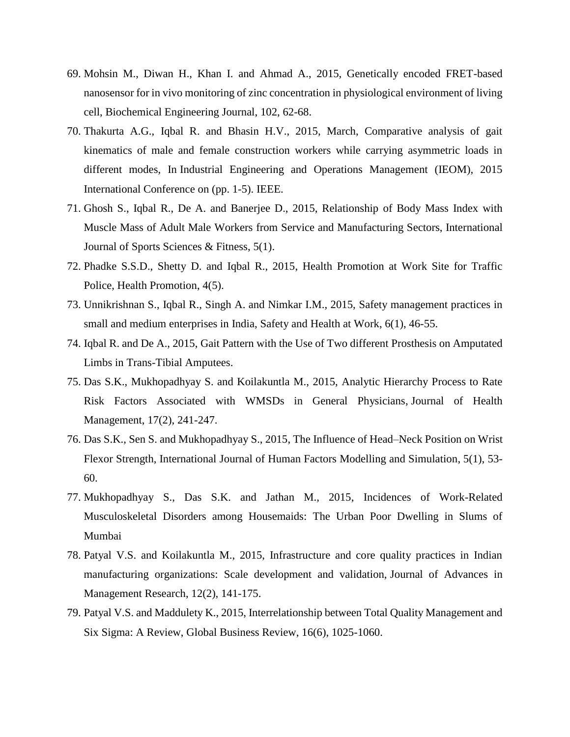- 69. Mohsin M., Diwan H., Khan I. and Ahmad A., 2015, Genetically encoded FRET-based nanosensor for in vivo monitoring of zinc concentration in physiological environment of living cell, Biochemical Engineering Journal, 102, 62-68.
- 70. Thakurta A.G., Iqbal R. and Bhasin H.V., 2015, March, Comparative analysis of gait kinematics of male and female construction workers while carrying asymmetric loads in different modes, In Industrial Engineering and Operations Management (IEOM), 2015 International Conference on (pp. 1-5). IEEE.
- 71. Ghosh S., Iqbal R., De A. and Banerjee D., 2015, Relationship of Body Mass Index with Muscle Mass of Adult Male Workers from Service and Manufacturing Sectors, International Journal of Sports Sciences & Fitness, 5(1).
- 72. Phadke S.S.D., Shetty D. and Iqbal R., 2015, Health Promotion at Work Site for Traffic Police, Health Promotion, 4(5).
- 73. Unnikrishnan S., Iqbal R., Singh A. and Nimkar I.M., 2015, Safety management practices in small and medium enterprises in India, Safety and Health at Work, 6(1), 46-55.
- 74. Iqbal R. and De A., 2015, Gait Pattern with the Use of Two different Prosthesis on Amputated Limbs in Trans-Tibial Amputees.
- 75. Das S.K., Mukhopadhyay S. and Koilakuntla M., 2015, Analytic Hierarchy Process to Rate Risk Factors Associated with WMSDs in General Physicians, Journal of Health Management, 17(2), 241-247.
- 76. Das S.K., Sen S. and Mukhopadhyay S., 2015, The Influence of Head–Neck Position on Wrist Flexor Strength, International Journal of Human Factors Modelling and Simulation, 5(1), 53- 60.
- 77. Mukhopadhyay S., Das S.K. and Jathan M., 2015, Incidences of Work-Related Musculoskeletal Disorders among Housemaids: The Urban Poor Dwelling in Slums of Mumbai
- 78. Patyal V.S. and Koilakuntla M., 2015, Infrastructure and core quality practices in Indian manufacturing organizations: Scale development and validation, Journal of Advances in Management Research, 12(2), 141-175.
- 79. Patyal V.S. and Maddulety K., 2015, Interrelationship between Total Quality Management and Six Sigma: A Review, Global Business Review, 16(6), 1025-1060.